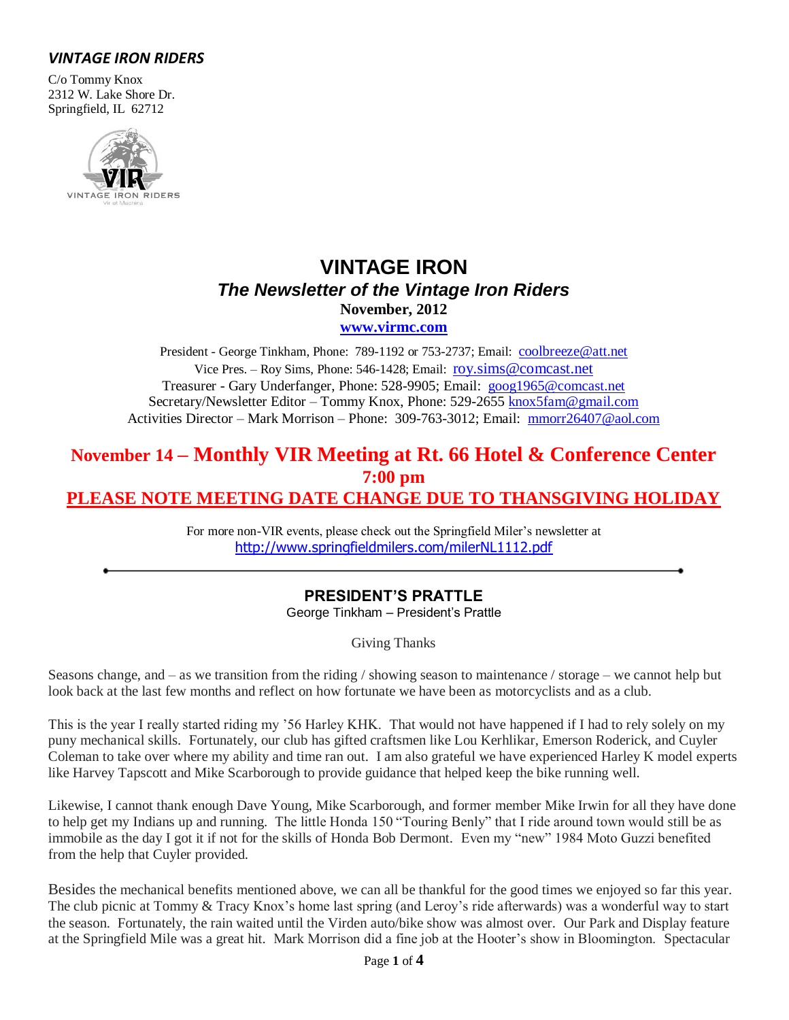## *VINTAGE IRON RIDERS*

C/o Tommy Knox 2312 W. Lake Shore Dr. Springfield, IL 62712



# **VINTAGE IRON** *The Newsletter of the Vintage Iron Riders* **November, 2012 [www.virmc.com](http://www.virmc.com/)**

President - George Tinkham, Phone: 789-1192 or 753-2737; Email: [coolbreeze@att.net](mailto:coolbreeze@att.net) Vice Pres. – Roy Sims, Phone: 546-1428; Email: [roy.sims@comcast.net](mailto:roy.sims@comcast.net) Treasurer - Gary Underfanger, Phone: 528-9905; Email: [goog1965@comcast.net](mailto:goog1965@comcast.net) Secretary/Newsletter Editor – Tommy Knox, Phone: 529-2655 [knox5fam@gmail.com](mailto:knox5fam@gmail.com) Activities Director – Mark Morrison – Phone: 309-763-3012; Email: [mmorr26407@aol.com](mailto:mmorr26407@aol.com)

# **November 14 – Monthly VIR Meeting at Rt. 66 Hotel & Conference Center 7:00 pm PLEASE NOTE MEETING DATE CHANGE DUE TO THANSGIVING HOLIDAY**

For more non-VIR events, please check out the Springfield Miler's newsletter at <http://www.springfieldmilers.com/milerNL1112.pdf>

# **PRESIDENT'S PRATTLE**

George Tinkham – President's Prattle

Giving Thanks

Seasons change, and – as we transition from the riding / showing season to maintenance / storage – we cannot help but look back at the last few months and reflect on how fortunate we have been as motorcyclists and as a club.

This is the year I really started riding my '56 Harley KHK. That would not have happened if I had to rely solely on my puny mechanical skills. Fortunately, our club has gifted craftsmen like Lou Kerhlikar, Emerson Roderick, and Cuyler Coleman to take over where my ability and time ran out. I am also grateful we have experienced Harley K model experts like Harvey Tapscott and Mike Scarborough to provide guidance that helped keep the bike running well.

Likewise, I cannot thank enough Dave Young, Mike Scarborough, and former member Mike Irwin for all they have done to help get my Indians up and running. The little Honda 150 "Touring Benly" that I ride around town would still be as immobile as the day I got it if not for the skills of Honda Bob Dermont. Even my "new" 1984 Moto Guzzi benefited from the help that Cuyler provided.

Besides the mechanical benefits mentioned above, we can all be thankful for the good times we enjoyed so far this year. The club picnic at Tommy & Tracy Knox's home last spring (and Leroy's ride afterwards) was a wonderful way to start the season. Fortunately, the rain waited until the Virden auto/bike show was almost over. Our Park and Display feature at the Springfield Mile was a great hit. Mark Morrison did a fine job at the Hooter's show in Bloomington. Spectacular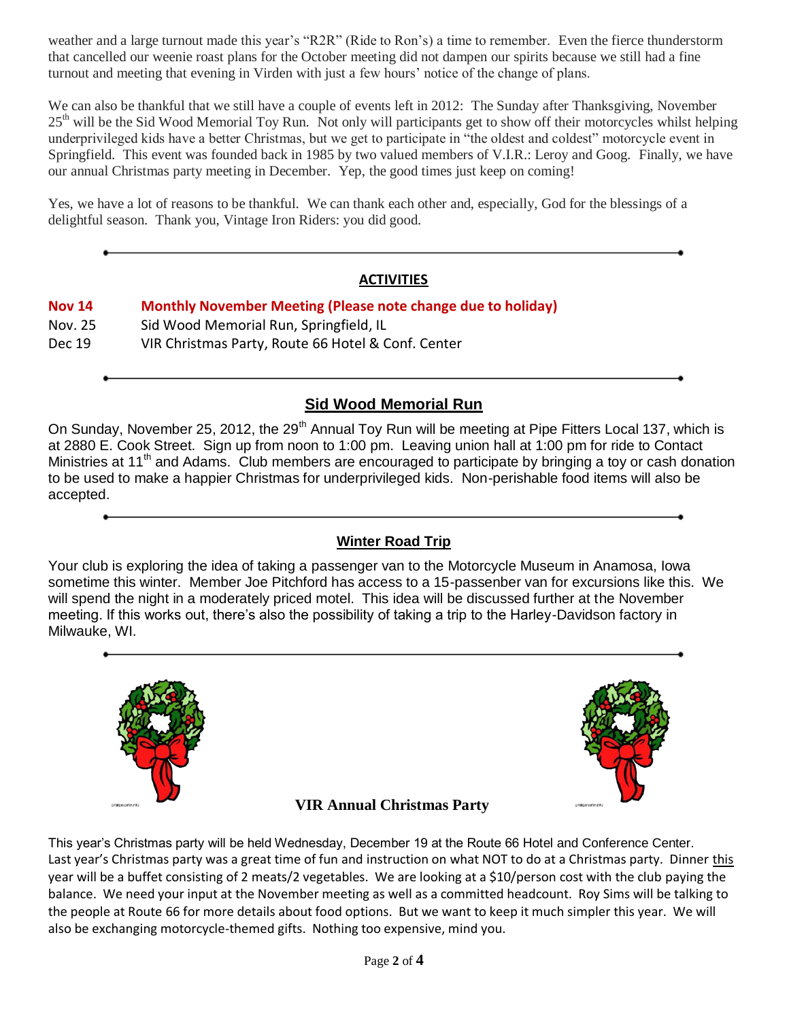weather and a large turnout made this year's "R2R" (Ride to Ron's) a time to remember. Even the fierce thunderstorm that cancelled our weenie roast plans for the October meeting did not dampen our spirits because we still had a fine turnout and meeting that evening in Virden with just a few hours' notice of the change of plans.

We can also be thankful that we still have a couple of events left in 2012: The Sunday after Thanksgiving, November 25<sup>th</sup> will be the Sid Wood Memorial Toy Run. Not only will participants get to show off their motorcycles whilst helping underprivileged kids have a better Christmas, but we get to participate in "the oldest and coldest" motorcycle event in Springfield. This event was founded back in 1985 by two valued members of V.I.R.: Leroy and Goog. Finally, we have our annual Christmas party meeting in December. Yep, the good times just keep on coming!

Yes, we have a lot of reasons to be thankful. We can thank each other and, especially, God for the blessings of a delightful season. Thank you, Vintage Iron Riders: you did good.

## **ACTIVITIES**

# **Nov 14 Monthly November Meeting (Please note change due to holiday)** Nov. 25 Sid Wood Memorial Run, Springfield, IL Dec 19 VIR Christmas Party, Route 66 Hotel & Conf. Center

## **Sid Wood Memorial Run**

On Sunday, November 25, 2012, the 29<sup>th</sup> Annual Toy Run will be meeting at Pipe Fitters Local 137, which is at 2880 E. Cook Street. Sign up from noon to 1:00 pm. Leaving union hall at 1:00 pm for ride to Contact Ministries at 11<sup>th</sup> and Adams. Club members are encouraged to participate by bringing a toy or cash donation to be used to make a happier Christmas for underprivileged kids. Non-perishable food items will also be accepted.

## **Winter Road Trip**

Your club is exploring the idea of taking a passenger van to the Motorcycle Museum in Anamosa, Iowa sometime this winter. Member Joe Pitchford has access to a 15-passenber van for excursions like this. We will spend the night in a moderately priced motel. This idea will be discussed further at the November meeting. If this works out, there's also the possibility of taking a trip to the Harley-Davidson factory in Milwauke, WI.



This year's Christmas party will be held Wednesday, December 19 at the Route 66 Hotel and Conference Center. Last year's Christmas party was a great time of fun and instruction on what NOT to do at a Christmas party. Dinner this year will be a buffet consisting of 2 meats/2 vegetables. We are looking at a \$10/person cost with the club paying the balance. We need your input at the November meeting as well as a committed headcount. Roy Sims will be talking to the people at Route 66 for more details about food options. But we want to keep it much simpler this year. We will also be exchanging motorcycle-themed gifts. Nothing too expensive, mind you.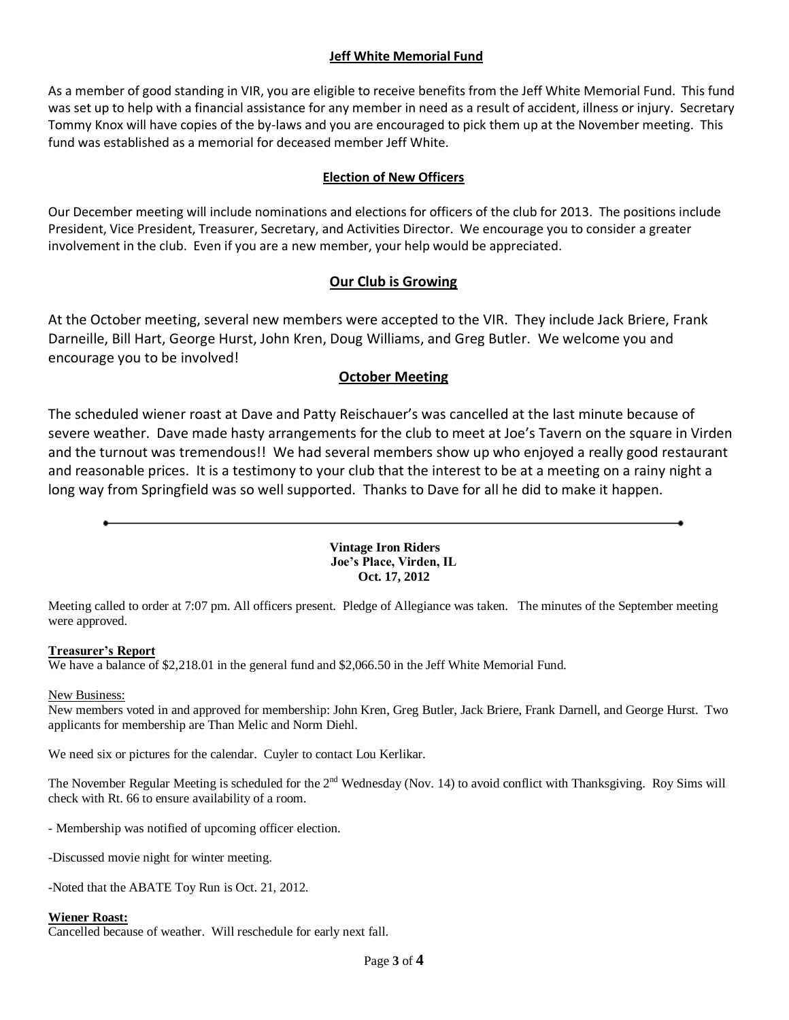### **Jeff White Memorial Fund**

As a member of good standing in VIR, you are eligible to receive benefits from the Jeff White Memorial Fund. This fund was set up to help with a financial assistance for any member in need as a result of accident, illness or injury. Secretary Tommy Knox will have copies of the by-laws and you are encouraged to pick them up at the November meeting. This fund was established as a memorial for deceased member Jeff White.

### **Election of New Officers**

Our December meeting will include nominations and elections for officers of the club for 2013. The positions include President, Vice President, Treasurer, Secretary, and Activities Director. We encourage you to consider a greater involvement in the club. Even if you are a new member, your help would be appreciated.

### **Our Club is Growing**

At the October meeting, several new members were accepted to the VIR. They include Jack Briere, Frank Darneille, Bill Hart, George Hurst, John Kren, Doug Williams, and Greg Butler. We welcome you and encourage you to be involved!

### **October Meeting**

The scheduled wiener roast at Dave and Patty Reischauer's was cancelled at the last minute because of severe weather. Dave made hasty arrangements for the club to meet at Joe's Tavern on the square in Virden and the turnout was tremendous!! We had several members show up who enjoyed a really good restaurant and reasonable prices. It is a testimony to your club that the interest to be at a meeting on a rainy night a long way from Springfield was so well supported. Thanks to Dave for all he did to make it happen.

> **Vintage Iron Riders Joe's Place, Virden, IL Oct. 17, 2012**

Meeting called to order at 7:07 pm. All officers present. Pledge of Allegiance was taken. The minutes of the September meeting were approved.

#### **Treasurer's Report**

We have a balance of \$2,218.01 in the general fund and \$2,066.50 in the Jeff White Memorial Fund.

#### New Business:

New members voted in and approved for membership: John Kren, Greg Butler, Jack Briere, Frank Darnell, and George Hurst. Two applicants for membership are Than Melic and Norm Diehl.

We need six or pictures for the calendar. Cuyler to contact Lou Kerlikar.

The November Regular Meeting is scheduled for the 2<sup>nd</sup> Wednesday (Nov. 14) to avoid conflict with Thanksgiving. Roy Sims will check with Rt. 66 to ensure availability of a room.

- Membership was notified of upcoming officer election.

-Discussed movie night for winter meeting.

-Noted that the ABATE Toy Run is Oct. 21, 2012.

#### **Wiener Roast:**

Cancelled because of weather. Will reschedule for early next fall.